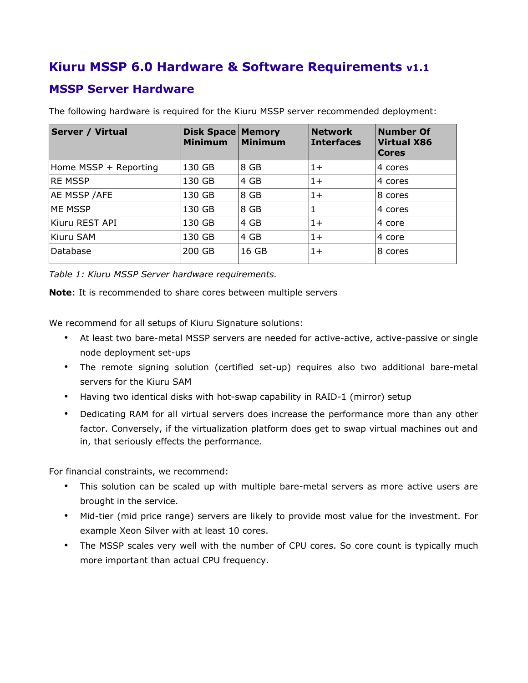# **Kiuru MSSP 6.0 Hardware & Software Requirements v1.1**

### **MSSP Server Hardware**

| <b>Server / Virtual</b> | <b>Disk Space Memory</b><br><b>Minimum</b> | <b>Minimum</b> | <b>Network</b><br><b>Interfaces</b> | <b>Number Of</b><br><b>Virtual X86</b><br><b>Cores</b> |
|-------------------------|--------------------------------------------|----------------|-------------------------------------|--------------------------------------------------------|
| Home MSSP + Reporting   | 130 GB                                     | 8 GB           | $1+$                                | 4 cores                                                |
| <b>RE MSSP</b>          | 130 GB                                     | 4 GB           | $1+$                                | 4 cores                                                |
| AE MSSP / AFE           | 130 GB                                     | 8 GB           | $1+$                                | 8 cores                                                |
| ME MSSP                 | 130 GB                                     | 8 GB           | 1                                   | 4 cores                                                |
| Kiuru REST API          | 130 GB                                     | 4 GB           | $1+$                                | 4 core                                                 |
| Kiuru SAM               | 130 GB                                     | 4 GB           | $1+$                                | 4 core                                                 |
| Database                | 200 GB                                     | 16 GB          | $1+$                                | 8 cores                                                |

The following hardware is required for the Kiuru MSSP server recommended deployment:

*Table 1: Kiuru MSSP Server hardware requirements.*

**Note**: It is recommended to share cores between multiple servers

We recommend for all setups of Kiuru Signature solutions:

- At least two bare-metal MSSP servers are needed for active-active, active-passive or single node deployment set-ups
- The remote signing solution (certified set-up) requires also two additional bare-metal servers for the Kiuru SAM
- Having two identical disks with hot-swap capability in RAID-1 (mirror) setup
- Dedicating RAM for all virtual servers does increase the performance more than any other factor. Conversely, if the virtualization platform does get to swap virtual machines out and in, that seriously effects the performance.

For financial constraints, we recommend:

- This solution can be scaled up with multiple bare-metal servers as more active users are brought in the service.
- Mid-tier (mid price range) servers are likely to provide most value for the investment. For example Xeon Silver with at least 10 cores.
- The MSSP scales very well with the number of CPU cores. So core count is typically much more important than actual CPU frequency.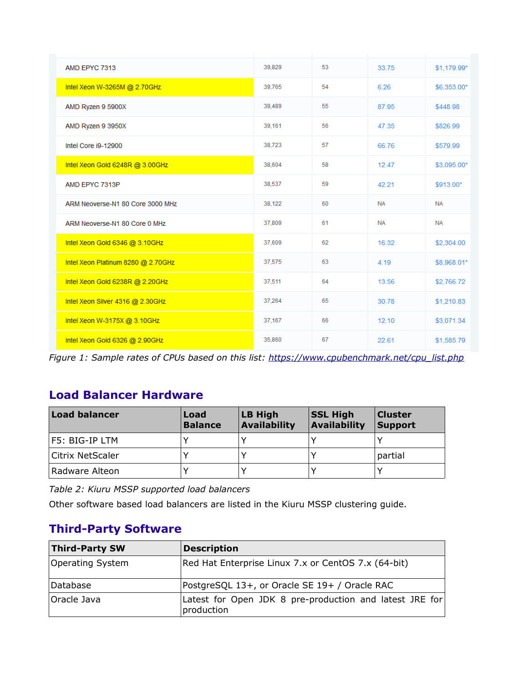| AMD EPYC 7313                      | 39,829 | 53 | 33.75     | \$1,179.99* |
|------------------------------------|--------|----|-----------|-------------|
| Intel Xeon W-3265M @ 2.70GHz       | 39,765 | 54 | 6.26      | \$6,353.00* |
| AMD Ryzen 9 5900X                  | 39,489 | 55 | 87.95     | \$448.98    |
| AMD Ryzen 9 3950X                  | 39,161 | 56 | 47.35     | \$826.99    |
| Intel Core i9-12900                | 38,723 | 57 | 66.76     | \$579.99    |
| Intel Xeon Gold 6248R @ 3.00GHz    | 38,604 | 58 | 12.47     | \$3,095.00* |
| AMD EPYC 7313P                     | 38,537 | 59 | 42.21     | \$913.00*   |
| ARM Neoverse-N1 80 Core 3000 MHz   | 38,122 | 60 | <b>NA</b> | <b>NA</b>   |
| ARM Neoverse-N1 80 Core 0 MHz      | 37,809 | 61 | <b>NA</b> | <b>NA</b>   |
| Intel Xeon Gold 6346 @ 3.10GHz     | 37,609 | 62 | 16.32     | \$2,304.00  |
| Intel Xeon Platinum 8280 @ 2.70GHz | 37,575 | 63 | 4.19      | \$8,968.01* |
| Intel Xeon Gold 6238R @ 2.20GHz    | 37,511 | 64 | 13.56     | \$2,766.72  |
| Intel Xeon Silver 4316 @ 2.30GHz   | 37,264 | 65 | 30.78     | \$1,210.83  |
| Intel Xeon W-3175X @ 3.10GHz       | 37,167 | 66 | 12.10     | \$3,071.34  |
| Intel Xeon Gold 6326 @ 2.90GHz     | 35,860 | 67 | 22.61     | \$1,585.79  |

*Figure 1: Sample rates of CPUs based on this list: [https://www.cpubenchmark.net/cpu\\_list.php](https://www.cpubenchmark.net/cpu_list.php)*

### **Load Balancer Hardware**

| <b>Load balancer</b>    | Load<br><b>Balance</b> | LB High<br><b>Availability</b> | <b>SSL High</b><br><b>Availability</b> | <b>Cluster</b><br><b>Support</b> |
|-------------------------|------------------------|--------------------------------|----------------------------------------|----------------------------------|
| F5: BIG-IP LTM          |                        |                                |                                        |                                  |
| <b>Citrix NetScaler</b> |                        |                                |                                        | partial                          |
| Radware Alteon          |                        |                                |                                        |                                  |

*Table 2: Kiuru MSSP supported load balancers*

Other software based load balancers are listed in the Kiuru MSSP clustering guide.

# **Third-Party Software**

| <b>Third-Party SW</b> | <b>Description</b>                                                    |
|-----------------------|-----------------------------------------------------------------------|
| Operating System      | Red Hat Enterprise Linux 7.x or CentOS 7.x (64-bit)                   |
| Database              | PostgreSQL 13+, or Oracle SE 19+ / Oracle RAC                         |
| Oracle Java           | Latest for Open JDK 8 pre-production and latest JRE for<br>production |